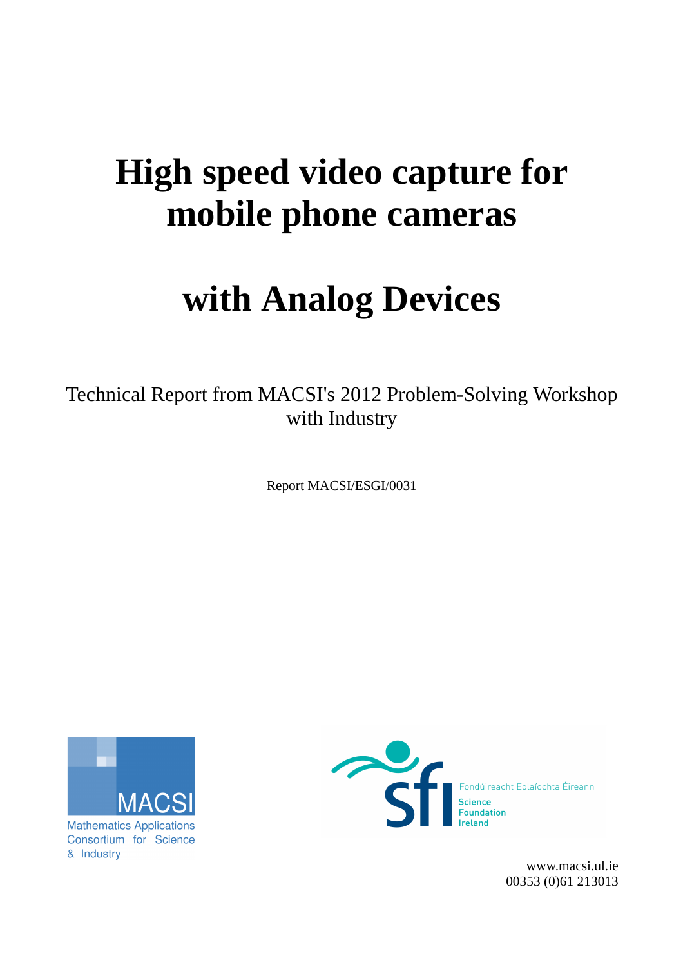# **High speed video capture for mobile phone cameras**

# **with Analog Devices**

Technical Report from MACSI's 2012 Problem-Solving Workshop with Industry

Report MACSI/ESGI/0031



**Mathematics Applications** Consortium for Science & Industry



[www.macsi.ul.ie](http://www.macsi.ul.ie/) 00353 (0)61 213013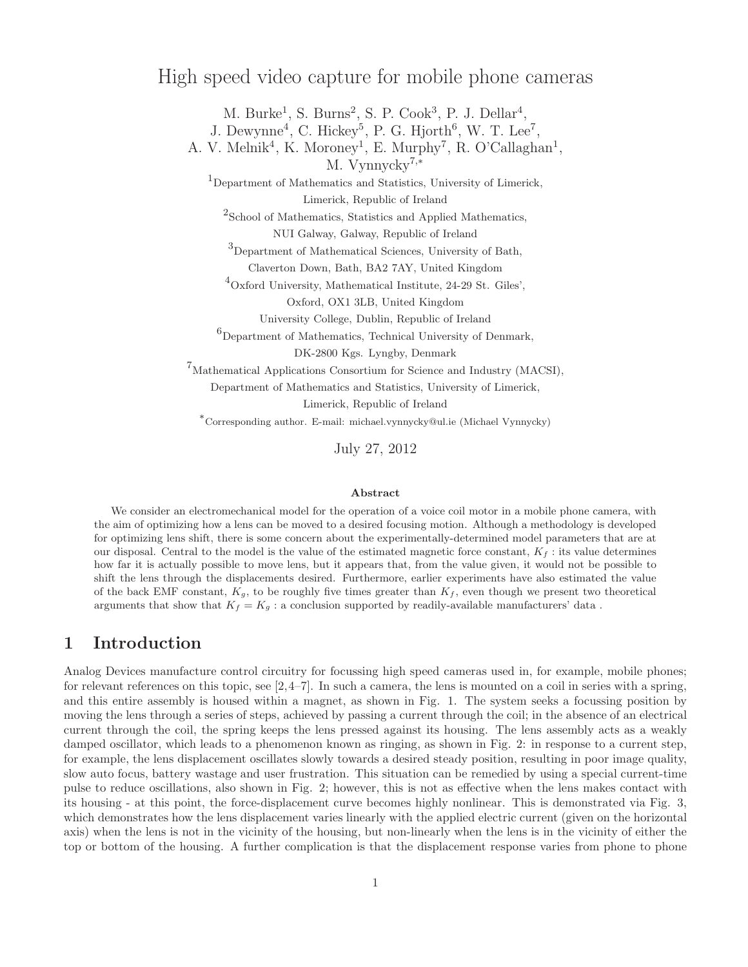## High speed video capture for mobile phone cameras

M. Burke<sup>1</sup>, S. Burns<sup>2</sup>, S. P. Cook<sup>3</sup>, P. J. Dellar<sup>4</sup>,

J. Dewynne<sup>4</sup>, C. Hickey<sup>5</sup>, P. G. Hjorth<sup>6</sup>, W. T. Lee<sup>7</sup>,

A. V. Melnik<sup>4</sup>, K. Moroney<sup>1</sup>, E. Murphy<sup>7</sup>, R. O'Callaghan<sup>1</sup>,

M. Vynnycky<sup>7</sup>,<sup>∗</sup>

<sup>1</sup>Department of Mathematics and Statistics, University of Limerick, Limerick, Republic of Ireland

2 School of Mathematics, Statistics and Applied Mathematics,

NUI Galway, Galway, Republic of Ireland

<sup>3</sup>Department of Mathematical Sciences, University of Bath,

Claverton Down, Bath, BA2 7AY, United Kingdom

<sup>4</sup>Oxford University, Mathematical Institute, 24-29 St. Giles',

Oxford, OX1 3LB, United Kingdom

University College, Dublin, Republic of Ireland

 $^6$ Department of Mathematics, Technical University of Denmark,

DK-2800 Kgs. Lyngby, Denmark

 $^{7}$ Mathematical Applications Consortium for Science and Industry (MACSI),

Department of Mathematics and Statistics, University of Limerick,

Limerick, Republic of Ireland

<sup>∗</sup>Corresponding author. E-mail: michael.vynnycky@ul.ie (Michael Vynnycky)

July 27, 2012

#### Abstract

We consider an electromechanical model for the operation of a voice coil motor in a mobile phone camera, with the aim of optimizing how a lens can be moved to a desired focusing motion. Although a methodology is developed for optimizing lens shift, there is some concern about the experimentally-determined model parameters that are at our disposal. Central to the model is the value of the estimated magnetic force constant,  $K_f$ : its value determines how far it is actually possible to move lens, but it appears that, from the value given, it would not be possible to shift the lens through the displacements desired. Furthermore, earlier experiments have also estimated the value of the back EMF constant,  $K_q$ , to be roughly five times greater than  $K_f$ , even though we present two theoretical arguments that show that  $K_f = K_g$ : a conclusion supported by readily-available manufacturers' data.

## 1 Introduction

Analog Devices manufacture control circuitry for focussing high speed cameras used in, for example, mobile phones; for relevant references on this topic, see  $[2,4-7]$ . In such a camera, the lens is mounted on a coil in series with a spring, and this entire assembly is housed within a magnet, as shown in Fig. 1. The system seeks a focussing position by moving the lens through a series of steps, achieved by passing a current through the coil; in the absence of an electrical current through the coil, the spring keeps the lens pressed against its housing. The lens assembly acts as a weakly damped oscillator, which leads to a phenomenon known as ringing, as shown in Fig. 2: in response to a current step, for example, the lens displacement oscillates slowly towards a desired steady position, resulting in poor image quality, slow auto focus, battery wastage and user frustration. This situation can be remedied by using a special current-time pulse to reduce oscillations, also shown in Fig. 2; however, this is not as effective when the lens makes contact with its housing - at this point, the force-displacement curve becomes highly nonlinear. This is demonstrated via Fig. 3, which demonstrates how the lens displacement varies linearly with the applied electric current (given on the horizontal axis) when the lens is not in the vicinity of the housing, but non-linearly when the lens is in the vicinity of either the top or bottom of the housing. A further complication is that the displacement response varies from phone to phone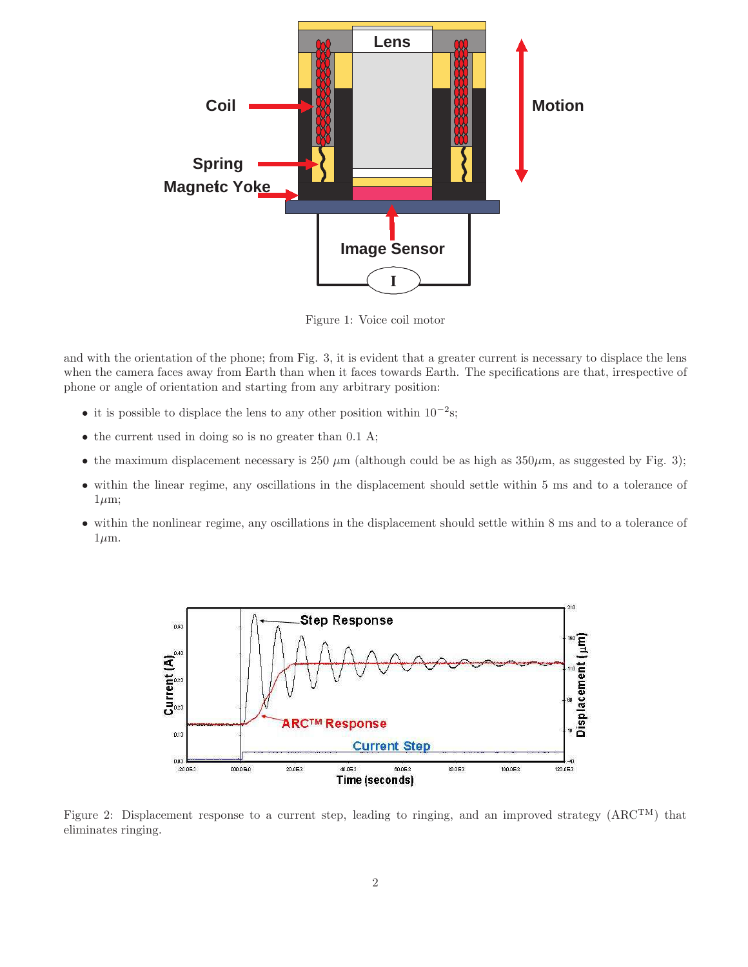

Figure 1: Voice coil motor

and with the orientation of the phone; from Fig. 3, it is evident that a greater current is necessary to displace the lens when the camera faces away from Earth than when it faces towards Earth. The specifications are that, irrespective of phone or angle of orientation and starting from any arbitrary position:

- it is possible to displace the lens to any other position within  $10^{-2}$ s;
- the current used in doing so is no greater than 0.1 A;
- the maximum displacement necessary is 250  $\mu$ m (although could be as high as 350 $\mu$ m, as suggested by Fig. 3);
- within the linear regime, any oscillations in the displacement should settle within 5 ms and to a tolerance of  $1 \mu m$ ;
- within the nonlinear regime, any oscillations in the displacement should settle within 8 ms and to a tolerance of  $1\mu$ m.



Figure 2: Displacement response to a current step, leading to ringing, and an improved strategy (ARCTM) that eliminates ringing.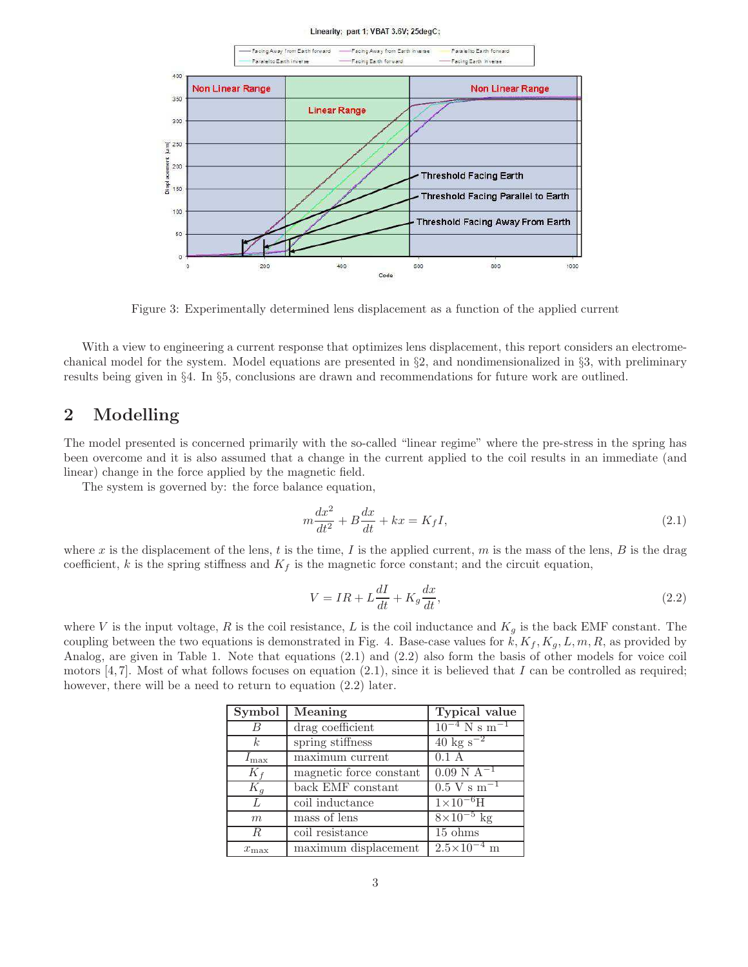#### Linearity; part 1; VBAT 3.6V; 25degC;



Figure 3: Experimentally determined lens displacement as a function of the applied current

With a view to engineering a current response that optimizes lens displacement, this report considers an electromechanical model for the system. Model equations are presented in §2, and nondimensionalized in §3, with preliminary results being given in §4. In §5, conclusions are drawn and recommendations for future work are outlined.

## 2 Modelling

The model presented is concerned primarily with the so-called "linear regime" where the pre-stress in the spring has been overcome and it is also assumed that a change in the current applied to the coil results in an immediate (and linear) change in the force applied by the magnetic field.

The system is governed by: the force balance equation,

$$
m\frac{dx^2}{dt^2} + B\frac{dx}{dt} + kx = K_f I,
$$
\n(2.1)

where x is the displacement of the lens, t is the time, I is the applied current, m is the mass of the lens, B is the drag coefficient, k is the spring stiffness and  $K_f$  is the magnetic force constant; and the circuit equation,

$$
V = IR + L\frac{dI}{dt} + K_g \frac{dx}{dt},\tag{2.2}
$$

where V is the input voltage, R is the coil resistance, L is the coil inductance and  $K_q$  is the back EMF constant. The coupling between the two equations is demonstrated in Fig. 4. Base-case values for  $k, K_f, K_g, L, m, R$ , as provided by Analog, are given in Table 1. Note that equations (2.1) and (2.2) also form the basis of other models for voice coil motors [4, 7]. Most of what follows focuses on equation (2.1), since it is believed that I can be controlled as required; however, there will be a need to return to equation  $(2.2)$  later.

| Symbol           | Meaning                             | Typical value                 |
|------------------|-------------------------------------|-------------------------------|
| - B              | drag coefficient                    | $10^{-4}$ N s m <sup>-1</sup> |
| k <sub>i</sub>   | spring stiffness                    | $40 \text{ kg s}^{-2}$        |
| $I_{\rm max}$    | $\overline{\text{maximum}}$ current | 0.1 A                         |
| $K_f$            | magnetic force constant             | $0.09 \text{ N A}^{-1}$       |
| $K_q$            | back EMF constant                   | $0.5 \text{ V s m}^{-1}$      |
| L                | coil inductance                     | $1 \times 10^{-6}$ H          |
| m                | mass of lens                        | $8\times10^{-5}$ kg           |
| $\boldsymbol{R}$ | coil resistance                     | $15 \text{ ohms}$             |
| $x_{\max}$       | maximum displacement                | $2.5 \times 10^{-4}$ m        |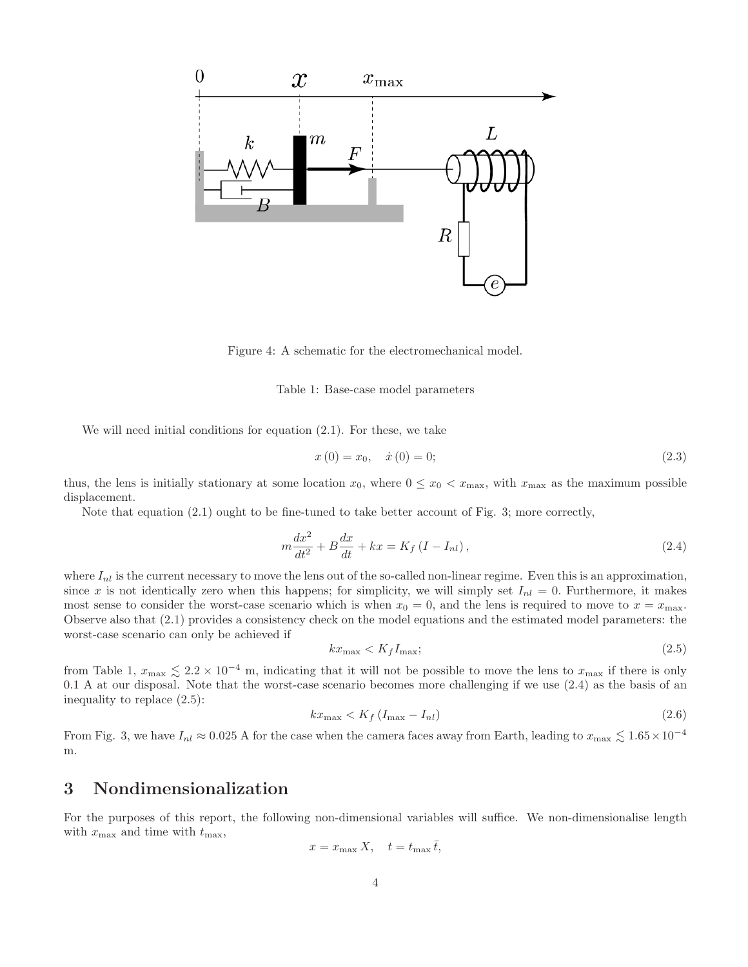

Figure 4: A schematic for the electromechanical model.

#### Table 1: Base-case model parameters

We will need initial conditions for equation (2.1). For these, we take

$$
x(0) = x_0, \quad \dot{x}(0) = 0; \tag{2.3}
$$

thus, the lens is initially stationary at some location  $x_0$ , where  $0 \le x_0 < x_{\text{max}}$ , with  $x_{\text{max}}$  as the maximum possible displacement.

Note that equation (2.1) ought to be fine-tuned to take better account of Fig. 3; more correctly,

$$
m\frac{dx^2}{dt^2} + B\frac{dx}{dt} + kx = K_f (I - I_{nl}),
$$
\n(2.4)

where  $I_{nl}$  is the current necessary to move the lens out of the so-called non-linear regime. Even this is an approximation, since x is not identically zero when this happens; for simplicity, we will simply set  $I_{nl} = 0$ . Furthermore, it makes most sense to consider the worst-case scenario which is when  $x_0 = 0$ , and the lens is required to move to  $x = x_{\text{max}}$ . Observe also that (2.1) provides a consistency check on the model equations and the estimated model parameters: the worst-case scenario can only be achieved if

$$
kx_{\text{max}} < K_f I_{\text{max}};\tag{2.5}
$$

from Table 1,  $x_{\text{max}} \lesssim 2.2 \times 10^{-4}$  m, indicating that it will not be possible to move the lens to  $x_{\text{max}}$  if there is only 0.1 A at our disposal. Note that the worst-case scenario becomes more challenging if we use (2.4) as the basis of an inequality to replace (2.5):

$$
kx_{\max} < K_f \left( I_{\max} - I_{nl} \right) \tag{2.6}
$$

From Fig. 3, we have  $I_{nl} \approx 0.025$  A for the case when the camera faces away from Earth, leading to  $x_{\text{max}} \lesssim 1.65 \times 10^{-4}$ m.

## 3 Nondimensionalization

For the purposes of this report, the following non-dimensional variables will suffice. We non-dimensionalise length with  $x_{\text{max}}$  and time with  $t_{\text{max}}$ ,

$$
x = x_{\max} X, \quad t = t_{\max} \bar{t},
$$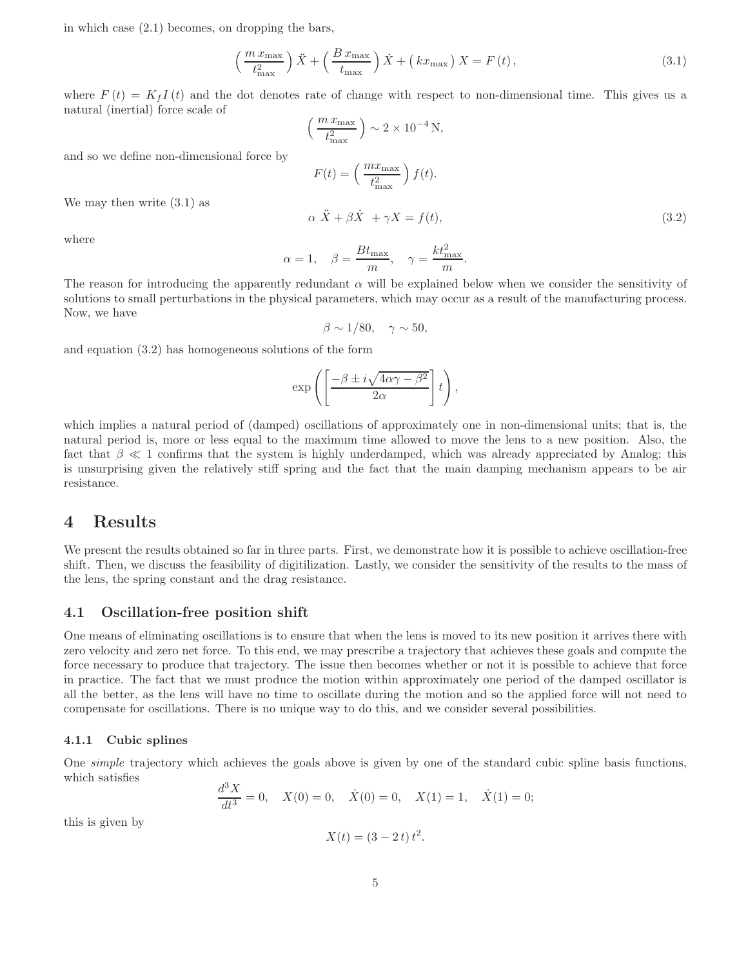in which case (2.1) becomes, on dropping the bars,

$$
\left(\frac{m x_{\text{max}}}{t_{\text{max}}^2}\right)\ddot{X} + \left(\frac{B x_{\text{max}}}{t_{\text{max}}}\right)\dot{X} + \left(k x_{\text{max}}\right)X = F\left(t\right),\tag{3.1}
$$

where  $F(t) = K_f I(t)$  and the dot denotes rate of change with respect to non-dimensional time. This gives us a natural (inertial) force scale of

$$
\left(\frac{m x_{\text{max}}}{t_{\text{max}}^2}\right) \sim 2 \times 10^{-4} \text{ N},
$$
\n
$$
F(t) = \left(\frac{m x_{\text{max}}}{t_{\text{max}}^2}\right) f(t).
$$
\n
$$
\alpha \ddot{X} + \beta \dot{X} + \gamma X = f(t),
$$
\n(3.2)

We may then write (3.1) as

and so we define non-dimensional force by

where

$$
\alpha = 1, \quad \beta = \frac{Bt_{\text{max}}}{m}, \quad \gamma = \frac{kt_{\text{max}}^2}{m}.
$$

The reason for introducing the apparently redundant  $\alpha$  will be explained below when we consider the sensitivity of solutions to small perturbations in the physical parameters, which may occur as a result of the manufacturing process. Now, we have

$$
\beta \sim 1/80, \quad \gamma \sim 50,
$$

and equation (3.2) has homogeneous solutions of the form

$$
\exp\left(\left[\frac{-\beta \pm i\sqrt{4\alpha\gamma-\beta^2}}{2\alpha}\right]t\right),\right
$$

which implies a natural period of (damped) oscillations of approximately one in non-dimensional units; that is, the natural period is, more or less equal to the maximum time allowed to move the lens to a new position. Also, the fact that  $\beta \ll 1$  confirms that the system is highly underdamped, which was already appreciated by Analog; this is unsurprising given the relatively stiff spring and the fact that the main damping mechanism appears to be air resistance.

## 4 Results

We present the results obtained so far in three parts. First, we demonstrate how it is possible to achieve oscillation-free shift. Then, we discuss the feasibility of digitilization. Lastly, we consider the sensitivity of the results to the mass of the lens, the spring constant and the drag resistance.

#### 4.1 Oscillation-free position shift

One means of eliminating oscillations is to ensure that when the lens is moved to its new position it arrives there with zero velocity and zero net force. To this end, we may prescribe a trajectory that achieves these goals and compute the force necessary to produce that trajectory. The issue then becomes whether or not it is possible to achieve that force in practice. The fact that we must produce the motion within approximately one period of the damped oscillator is all the better, as the lens will have no time to oscillate during the motion and so the applied force will not need to compensate for oscillations. There is no unique way to do this, and we consider several possibilities.

#### 4.1.1 Cubic splines

One *simple* trajectory which achieves the goals above is given by one of the standard cubic spline basis functions, which satisfies

$$
\frac{d^3X}{dt^3} = 0, \quad X(0) = 0, \quad \dot{X}(0) = 0, \quad X(1) = 1, \quad \dot{X}(1) = 0;
$$

this is given by

$$
X(t) = (3 - 2t) t2.
$$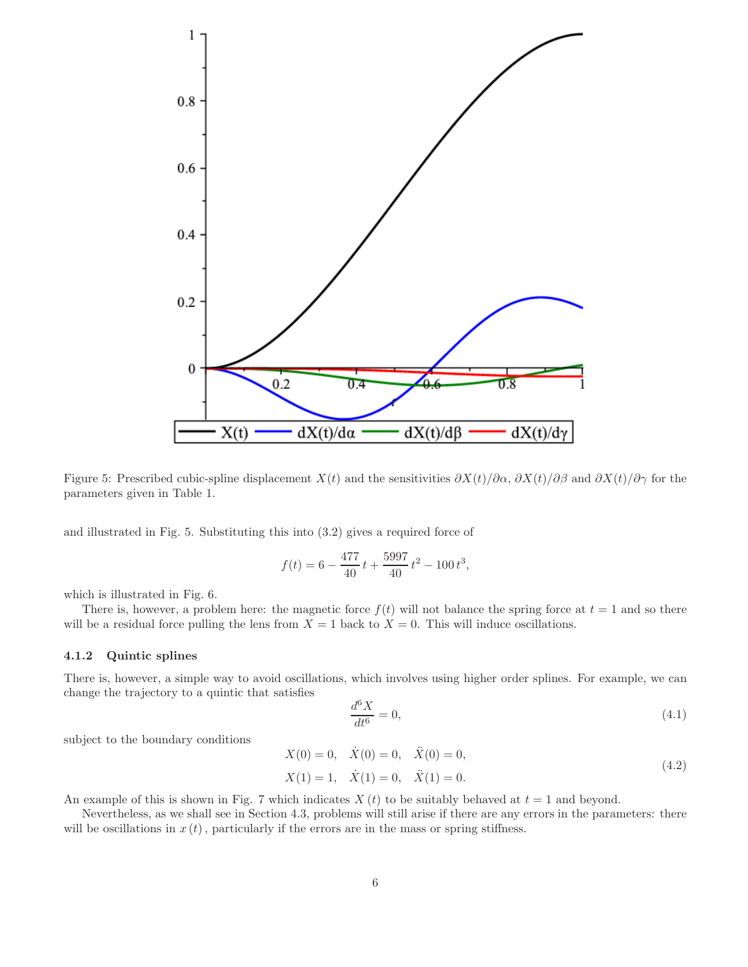

Figure 5: Prescribed cubic-spline displacement  $X(t)$  and the sensitivities  $\frac{\partial X(t)}{\partial \alpha}$ ,  $\frac{\partial X(t)}{\partial \beta}$  and  $\frac{\partial X(t)}{\partial \gamma}$  for the parameters given in Table 1.

and illustrated in Fig. 5. Substituting this into (3.2) gives a required force of

$$
f(t) = 6 - \frac{477}{40}t + \frac{5997}{40}t^{2} - 100t^{3},
$$

which is illustrated in Fig. 6.

There is, however, a problem here: the magnetic force  $f(t)$  will not balance the spring force at  $t = 1$  and so there will be a residual force pulling the lens from  $X = 1$  back to  $X = 0$ . This will induce oscillations.

#### 4.1.2 Quintic splines

There is, however, a simple way to avoid oscillations, which involves using higher order splines. For example, we can change the trajectory to a quintic that satisfies

$$
\frac{d^6X}{dt^6} = 0,\t\t(4.1)
$$

subject to the boundary conditions

$$
X(0) = 0, \quad \dot{X}(0) = 0, \quad \ddot{X}(0) = 0,
$$
  
\n
$$
X(1) = 1, \quad \dot{X}(1) = 0, \quad \ddot{X}(1) = 0.
$$
\n(4.2)

An example of this is shown in Fig. 7 which indicates  $X(t)$  to be suitably behaved at  $t = 1$  and beyond.

Nevertheless, as we shall see in Section 4.3, problems will still arise if there are any errors in the parameters: there will be oscillations in  $x(t)$ , particularly if the errors are in the mass or spring stiffness.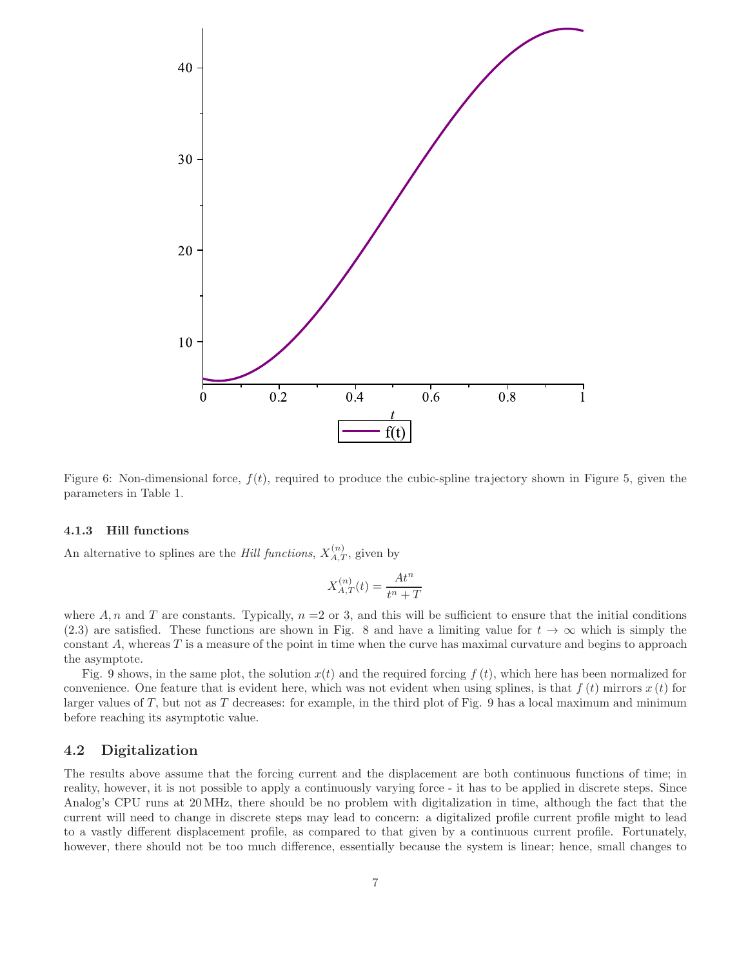

Figure 6: Non-dimensional force,  $f(t)$ , required to produce the cubic-spline trajectory shown in Figure 5, given the parameters in Table 1.

#### 4.1.3 Hill functions

An alternative to splines are the *Hill functions*,  $X_{A,T}^{(n)}$ , given by

$$
X_{A,T}^{(n)}(t) = \frac{At^n}{t^n + T}
$$

where A, n and T are constants. Typically,  $n = 2$  or 3, and this will be sufficient to ensure that the initial conditions (2.3) are satisfied. These functions are shown in Fig. 8 and have a limiting value for  $t \to \infty$  which is simply the constant  $A$ , whereas  $T$  is a measure of the point in time when the curve has maximal curvature and begins to approach the asymptote.

Fig. 9 shows, in the same plot, the solution  $x(t)$  and the required forcing  $f(t)$ , which here has been normalized for convenience. One feature that is evident here, which was not evident when using splines, is that  $f(t)$  mirrors  $x(t)$  for larger values of  $T$ , but not as  $T$  decreases: for example, in the third plot of Fig. 9 has a local maximum and minimum before reaching its asymptotic value.

#### 4.2 Digitalization

The results above assume that the forcing current and the displacement are both continuous functions of time; in reality, however, it is not possible to apply a continuously varying force - it has to be applied in discrete steps. Since Analog's CPU runs at 20 MHz, there should be no problem with digitalization in time, although the fact that the current will need to change in discrete steps may lead to concern: a digitalized profile current profile might to lead to a vastly different displacement profile, as compared to that given by a continuous current profile. Fortunately, however, there should not be too much difference, essentially because the system is linear; hence, small changes to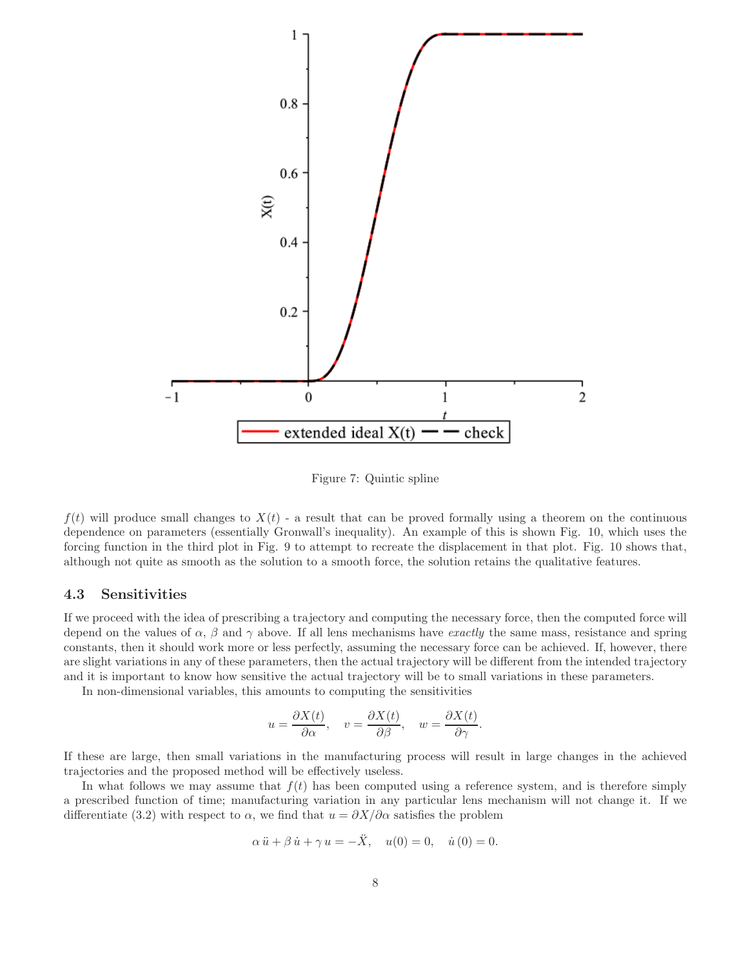

Figure 7: Quintic spline

 $f(t)$  will produce small changes to  $X(t)$  - a result that can be proved formally using a theorem on the continuous dependence on parameters (essentially Gronwall's inequality). An example of this is shown Fig. 10, which uses the forcing function in the third plot in Fig. 9 to attempt to recreate the displacement in that plot. Fig. 10 shows that, although not quite as smooth as the solution to a smooth force, the solution retains the qualitative features.

#### 4.3 Sensitivities

If we proceed with the idea of prescribing a trajectory and computing the necessary force, then the computed force will depend on the values of  $\alpha$ ,  $\beta$  and  $\gamma$  above. If all lens mechanisms have *exactly* the same mass, resistance and spring constants, then it should work more or less perfectly, assuming the necessary force can be achieved. If, however, there are slight variations in any of these parameters, then the actual trajectory will be different from the intended trajectory and it is important to know how sensitive the actual trajectory will be to small variations in these parameters.

In non-dimensional variables, this amounts to computing the sensitivities

$$
u = \frac{\partial X(t)}{\partial \alpha}
$$
,  $v = \frac{\partial X(t)}{\partial \beta}$ ,  $w = \frac{\partial X(t)}{\partial \gamma}$ .

If these are large, then small variations in the manufacturing process will result in large changes in the achieved trajectories and the proposed method will be effectively useless.

In what follows we may assume that  $f(t)$  has been computed using a reference system, and is therefore simply a prescribed function of time; manufacturing variation in any particular lens mechanism will not change it. If we differentiate (3.2) with respect to  $\alpha$ , we find that  $u = \partial X/\partial \alpha$  satisfies the problem

$$
\alpha \ddot{u} + \beta \dot{u} + \gamma u = -\ddot{X}, \quad u(0) = 0, \quad \dot{u}(0) = 0.
$$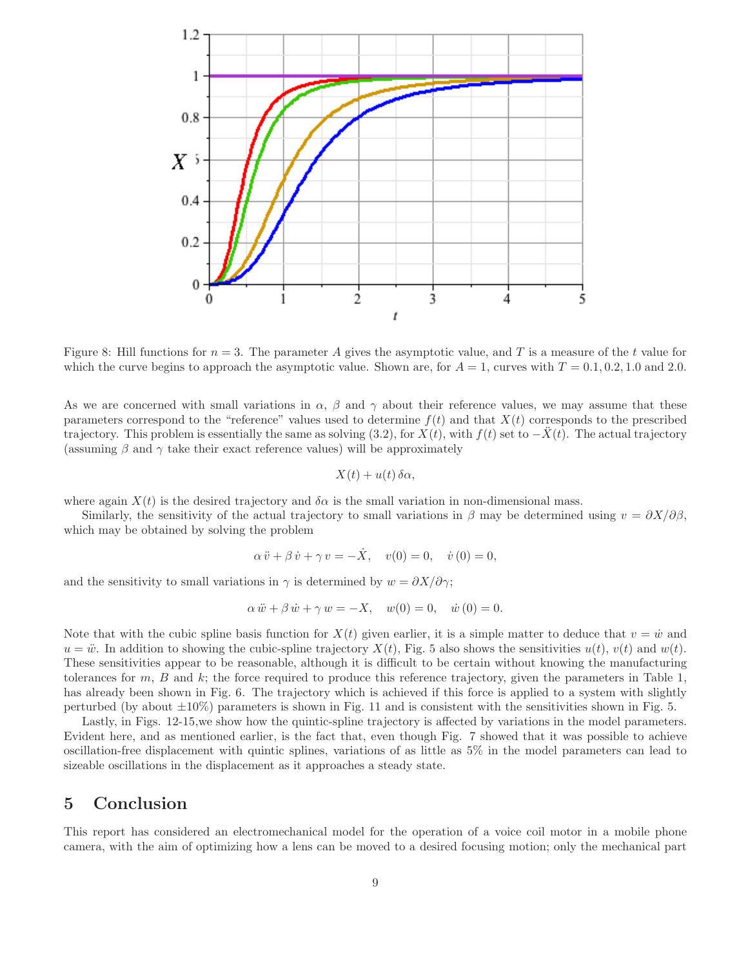

Figure 8: Hill functions for  $n = 3$ . The parameter A gives the asymptotic value, and T is a measure of the t value for which the curve begins to approach the asymptotic value. Shown are, for  $A = 1$ , curves with  $T = 0.1, 0.2, 1.0$  and 2.0.

As we are concerned with small variations in  $\alpha$ ,  $\beta$  and  $\gamma$  about their reference values, we may assume that these parameters correspond to the "reference" values used to determine  $f(t)$  and that  $X(t)$  corresponds to the prescribed trajectory. This problem is essentially the same as solving  $(3.2)$ , for  $X(t)$ , with  $f(t)$  set to  $-X(t)$ . The actual trajectory (assuming  $\beta$  and  $\gamma$  take their exact reference values) will be approximately

$$
X(t) + u(t) \,\delta\alpha,
$$

where again  $X(t)$  is the desired trajectory and  $\delta \alpha$  is the small variation in non-dimensional mass.

Similarly, the sensitivity of the actual trajectory to small variations in  $\beta$  may be determined using  $v = \partial X/\partial \beta$ . which may be obtained by solving the problem

$$
\alpha \ddot{v} + \beta \dot{v} + \gamma v = -\dot{X}, \quad v(0) = 0, \quad \dot{v}(0) = 0,
$$

and the sensitivity to small variations in  $\gamma$  is determined by  $w = \partial X/\partial \gamma$ ;

$$
\alpha \ddot{w} + \beta \dot{w} + \gamma w = -X, \quad w(0) = 0, \quad \dot{w}(0) = 0.
$$

Note that with the cubic spline basis function for  $X(t)$  given earlier, it is a simple matter to deduce that  $v = \dot{w}$  and  $u = \ddot{w}$ . In addition to showing the cubic-spline trajectory  $X(t)$ , Fig. 5 also shows the sensitivities  $u(t)$ ,  $v(t)$  and  $w(t)$ . These sensitivities appear to be reasonable, although it is difficult to be certain without knowing the manufacturing tolerances for  $m, B$  and  $k$ ; the force required to produce this reference trajectory, given the parameters in Table 1, has already been shown in Fig. 6. The trajectory which is achieved if this force is applied to a system with slightly perturbed (by about  $\pm 10\%$ ) parameters is shown in Fig. 11 and is consistent with the sensitivities shown in Fig. 5.

Lastly, in Figs. 12-15,we show how the quintic-spline trajectory is affected by variations in the model parameters. Evident here, and as mentioned earlier, is the fact that, even though Fig. 7 showed that it was possible to achieve oscillation-free displacement with quintic splines, variations of as little as 5% in the model parameters can lead to sizeable oscillations in the displacement as it approaches a steady state.

### 5 Conclusion

This report has considered an electromechanical model for the operation of a voice coil motor in a mobile phone camera, with the aim of optimizing how a lens can be moved to a desired focusing motion; only the mechanical part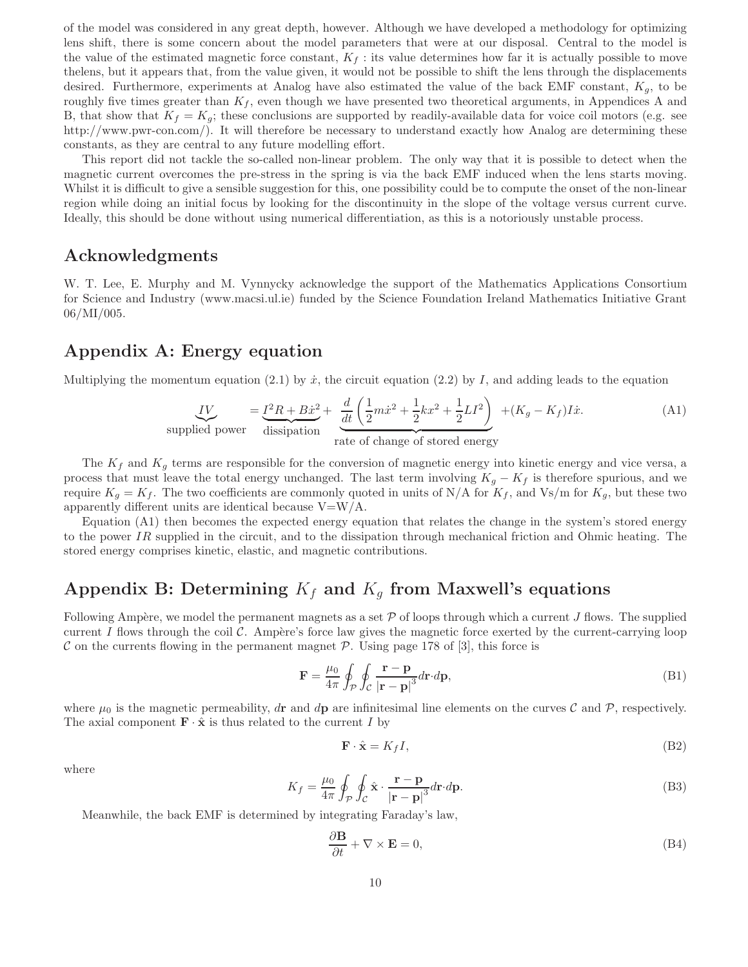of the model was considered in any great depth, however. Although we have developed a methodology for optimizing lens shift, there is some concern about the model parameters that were at our disposal. Central to the model is the value of the estimated magnetic force constant,  $K_f$ : its value determines how far it is actually possible to move thelens, but it appears that, from the value given, it would not be possible to shift the lens through the displacements desired. Furthermore, experiments at Analog have also estimated the value of the back EMF constant,  $K_g$ , to be roughly five times greater than  $K_f$ , even though we have presented two theoretical arguments, in Appendices A and B, that show that  $K_f = K_g$ ; these conclusions are supported by readily-available data for voice coil motors (e.g. see http://www.pwr-con.com/). It will therefore be necessary to understand exactly how Analog are determining these constants, as they are central to any future modelling effort.

This report did not tackle the so-called non-linear problem. The only way that it is possible to detect when the magnetic current overcomes the pre-stress in the spring is via the back EMF induced when the lens starts moving. Whilst it is difficult to give a sensible suggestion for this, one possibility could be to compute the onset of the non-linear region while doing an initial focus by looking for the discontinuity in the slope of the voltage versus current curve. Ideally, this should be done without using numerical differentiation, as this is a notoriously unstable process.

### Acknowledgments

W. T. Lee, E. Murphy and M. Vynnycky acknowledge the support of the Mathematics Applications Consortium for Science and Industry (www.macsi.ul.ie) funded by the Science Foundation Ireland Mathematics Initiative Grant 06/MI/005.

## Appendix A: Energy equation

Multiplying the momentum equation (2.1) by  $\dot{x}$ , the circuit equation (2.2) by I, and adding leads to the equation

$$
\underbrace{IV}_{\text{supplied power}} = \underbrace{I^2R + B\dot{x}^2}_{\text{dissipation}} + \underbrace{\frac{d}{dt}\left(\frac{1}{2}m\dot{x}^2 + \frac{1}{2}kx^2 + \frac{1}{2}LI^2\right)}_{\text{rate of change of stored energy}} + (K_g - K_f)I\dot{x}.\tag{A1}
$$

The  $K_f$  and  $K_g$  terms are responsible for the conversion of magnetic energy into kinetic energy and vice versa, a process that must leave the total energy unchanged. The last term involving  $K_q - K_f$  is therefore spurious, and we require  $K_g = K_f$ . The two coefficients are commonly quoted in units of N/A for  $K_f$ , and Vs/m for  $K_g$ , but these two apparently different units are identical because  $V= W/A$ .

Equation (A1) then becomes the expected energy equation that relates the change in the system's stored energy to the power IR supplied in the circuit, and to the dissipation through mechanical friction and Ohmic heating. The stored energy comprises kinetic, elastic, and magnetic contributions.

## Appendix B: Determining  $K_f$  and  $K_g$  from Maxwell's equations

Following Ampère, we model the permanent magnets as a set  $\mathcal P$  of loops through which a current J flows. The supplied current I flows through the coil  $\mathcal C$ . Ampère's force law gives the magnetic force exerted by the current-carrying loop C on the currents flowing in the permanent magnet  $P$ . Using page 178 of [3], this force is

$$
\mathbf{F} = \frac{\mu_0}{4\pi} \oint_{\mathcal{P}} \oint_{\mathcal{C}} \frac{\mathbf{r} - \mathbf{p}}{|\mathbf{r} - \mathbf{p}|^3} d\mathbf{r} \cdot d\mathbf{p},\tag{B1}
$$

where  $\mu_0$  is the magnetic permeability, dr and dp are infinitesimal line elements on the curves C and P, respectively. The axial component  $\mathbf{F} \cdot \hat{\mathbf{x}}$  is thus related to the current I by

$$
\mathbf{F} \cdot \hat{\mathbf{x}} = K_f I,\tag{B2}
$$

where

$$
K_f = \frac{\mu_0}{4\pi} \oint_{\mathcal{P}} \oint_{\mathcal{C}} \hat{\mathbf{x}} \cdot \frac{\mathbf{r} - \mathbf{p}}{|\mathbf{r} - \mathbf{p}|^3} d\mathbf{r} \cdot d\mathbf{p}.
$$
 (B3)

Meanwhile, the back EMF is determined by integrating Faraday's law,

$$
\frac{\partial \mathbf{B}}{\partial t} + \nabla \times \mathbf{E} = 0,\tag{B4}
$$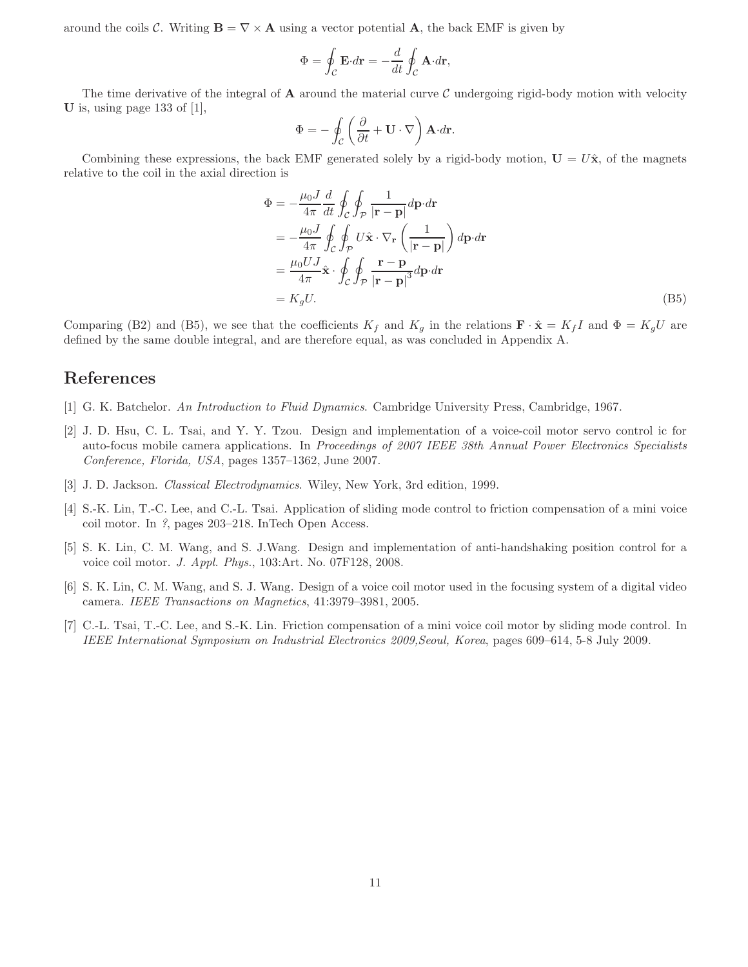around the coils C. Writing  $\mathbf{B} = \nabla \times \mathbf{A}$  using a vector potential **A**, the back EMF is given by

$$
\Phi = \oint_{\mathcal{C}} \mathbf{E} \cdot d\mathbf{r} = -\frac{d}{dt} \oint_{\mathcal{C}} \mathbf{A} \cdot d\mathbf{r},
$$

The time derivative of the integral of  $\bf{A}$  around the material curve C undergoing rigid-body motion with velocity U is, using page 133 of [1],

$$
\Phi = -\oint_{\mathcal{C}} \left( \frac{\partial}{\partial t} + \mathbf{U} \cdot \nabla \right) \mathbf{A} \cdot d\mathbf{r}.
$$

Combining these expressions, the back EMF generated solely by a rigid-body motion,  $U = U\hat{x}$ , of the magnets relative to the coil in the axial direction is

$$
\Phi = -\frac{\mu_0 J}{4\pi} \frac{d}{dt} \oint_C \oint_{\mathcal{P}} \frac{1}{|\mathbf{r} - \mathbf{p}|} d\mathbf{p} \cdot d\mathbf{r}
$$
\n
$$
= -\frac{\mu_0 J}{4\pi} \oint_C \oint_{\mathcal{P}} U \hat{\mathbf{x}} \cdot \nabla_{\mathbf{r}} \left( \frac{1}{|\mathbf{r} - \mathbf{p}|} \right) d\mathbf{p} \cdot d\mathbf{r}
$$
\n
$$
= \frac{\mu_0 U J}{4\pi} \hat{\mathbf{x}} \cdot \oint_C \oint_{\mathcal{P}} \frac{\mathbf{r} - \mathbf{p}}{|\mathbf{r} - \mathbf{p}|^3} d\mathbf{p} \cdot d\mathbf{r}
$$
\n
$$
= K_g U. \tag{B5}
$$

Comparing (B2) and (B5), we see that the coefficients  $K_f$  and  $K_g$  in the relations  $\mathbf{F} \cdot \hat{\mathbf{x}} = K_f I$  and  $\Phi = K_g U$  are defined by the same double integral, and are therefore equal, as was concluded in Appendix A.

## References

- [1] G. K. Batchelor. An Introduction to Fluid Dynamics. Cambridge University Press, Cambridge, 1967.
- [2] J. D. Hsu, C. L. Tsai, and Y. Y. Tzou. Design and implementation of a voice-coil motor servo control ic for auto-focus mobile camera applications. In Proceedings of 2007 IEEE 38th Annual Power Electronics Specialists Conference, Florida, USA, pages 1357–1362, June 2007.
- [3] J. D. Jackson. Classical Electrodynamics. Wiley, New York, 3rd edition, 1999.
- [4] S.-K. Lin, T.-C. Lee, and C.-L. Tsai. Application of sliding mode control to friction compensation of a mini voice coil motor. In ?, pages 203–218. InTech Open Access.
- [5] S. K. Lin, C. M. Wang, and S. J.Wang. Design and implementation of anti-handshaking position control for a voice coil motor. J. Appl. Phys., 103:Art. No. 07F128, 2008.
- [6] S. K. Lin, C. M. Wang, and S. J. Wang. Design of a voice coil motor used in the focusing system of a digital video camera. IEEE Transactions on Magnetics, 41:3979–3981, 2005.
- [7] C.-L. Tsai, T.-C. Lee, and S.-K. Lin. Friction compensation of a mini voice coil motor by sliding mode control. In IEEE International Symposium on Industrial Electronics 2009,Seoul, Korea, pages 609–614, 5-8 July 2009.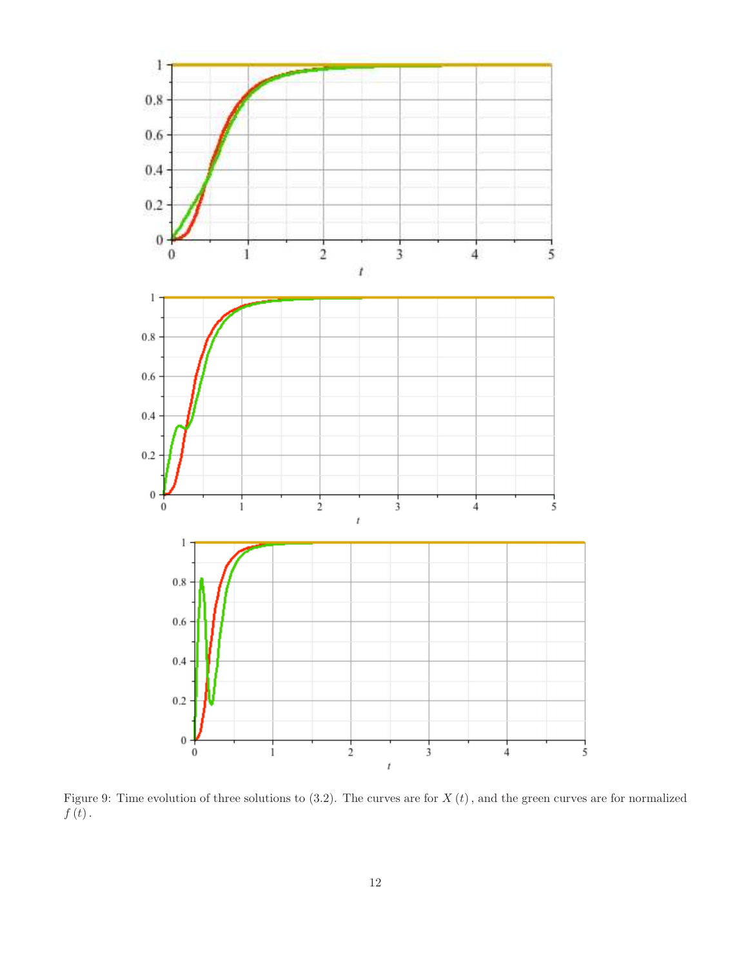

Figure 9: Time evolution of three solutions to  $(3.2)$ . The curves are for  $X(t)$ , and the green curves are for normalized  $f\left(t\right)$  .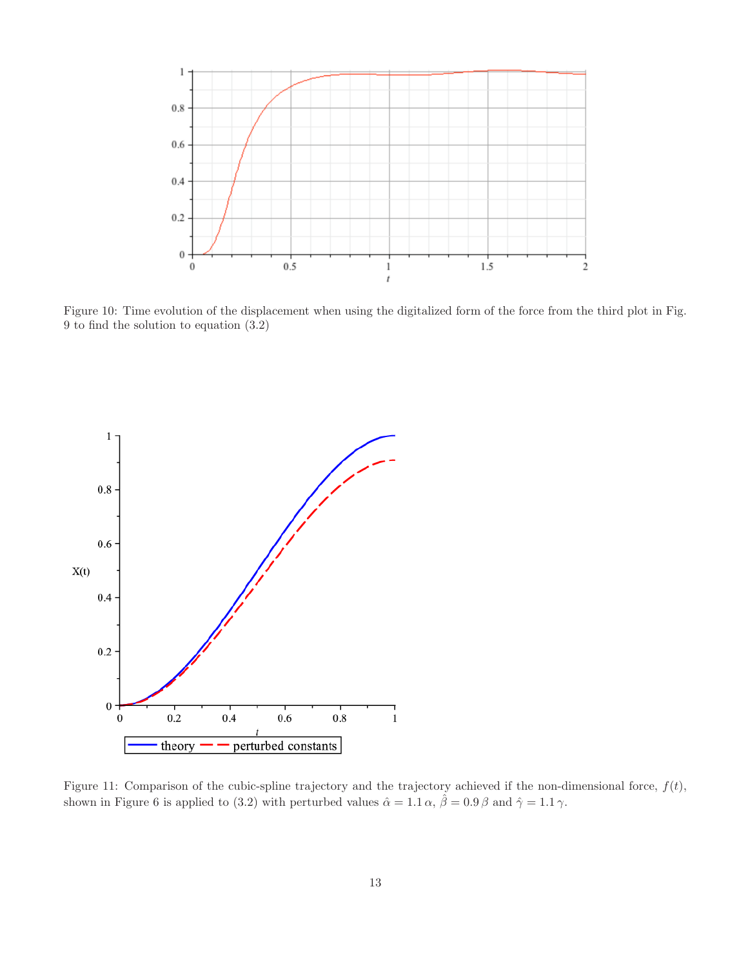

Figure 10: Time evolution of the displacement when using the digitalized form of the force from the third plot in Fig. 9 to find the solution to equation (3.2)



Figure 11: Comparison of the cubic-spline trajectory and the trajectory achieved if the non-dimensional force,  $f(t)$ , shown in Figure 6 is applied to (3.2) with perturbed values  $\hat{\alpha} = 1.1 \alpha$ ,  $\hat{\beta} = 0.9 \beta$  and  $\hat{\gamma} = 1.1 \gamma$ .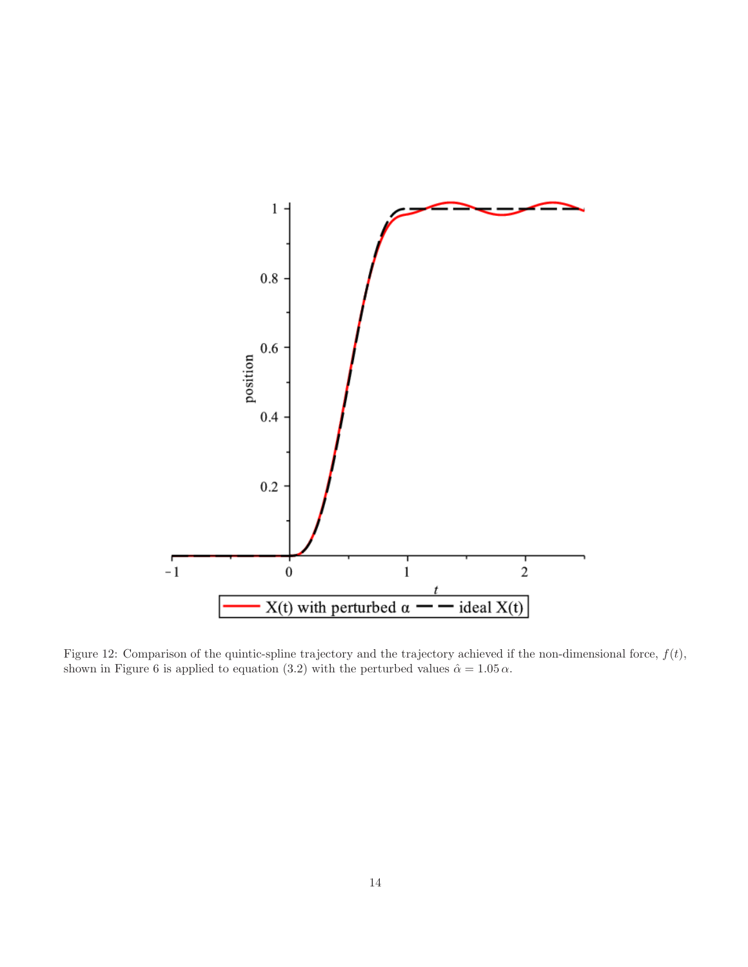

Figure 12: Comparison of the quintic-spline trajectory and the trajectory achieved if the non-dimensional force,  $f(t)$ , shown in Figure 6 is applied to equation (3.2) with the perturbed values  $\hat{\alpha} = 1.05 \alpha$ .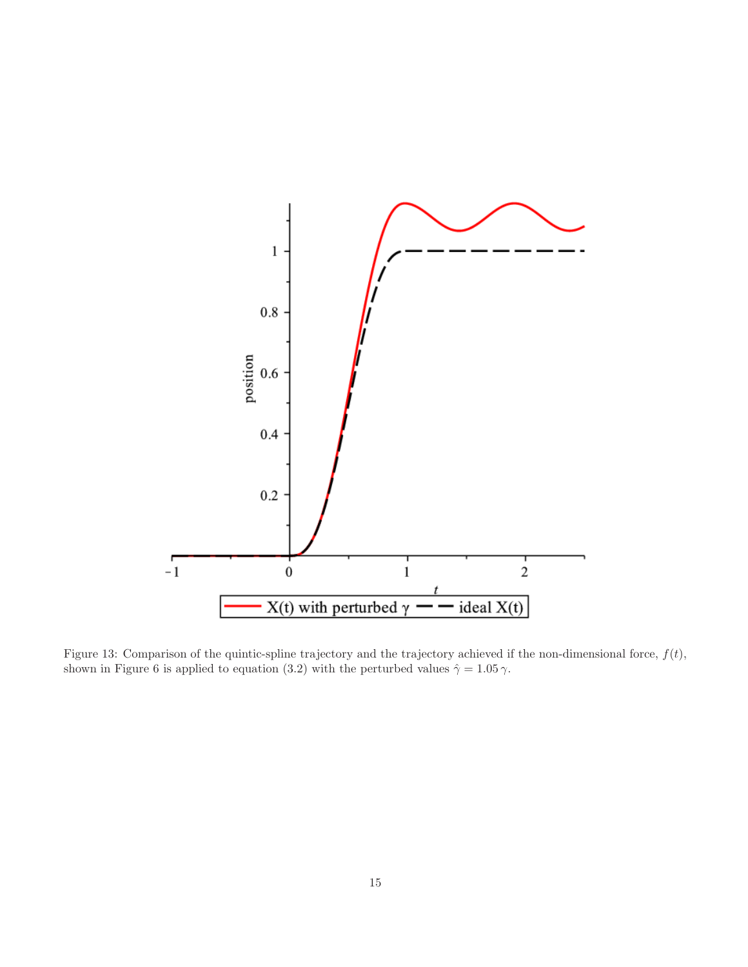

Figure 13: Comparison of the quintic-spline trajectory and the trajectory achieved if the non-dimensional force,  $f(t)$ , shown in Figure 6 is applied to equation (3.2) with the perturbed values  $\hat{\gamma} = 1.05 \gamma$ .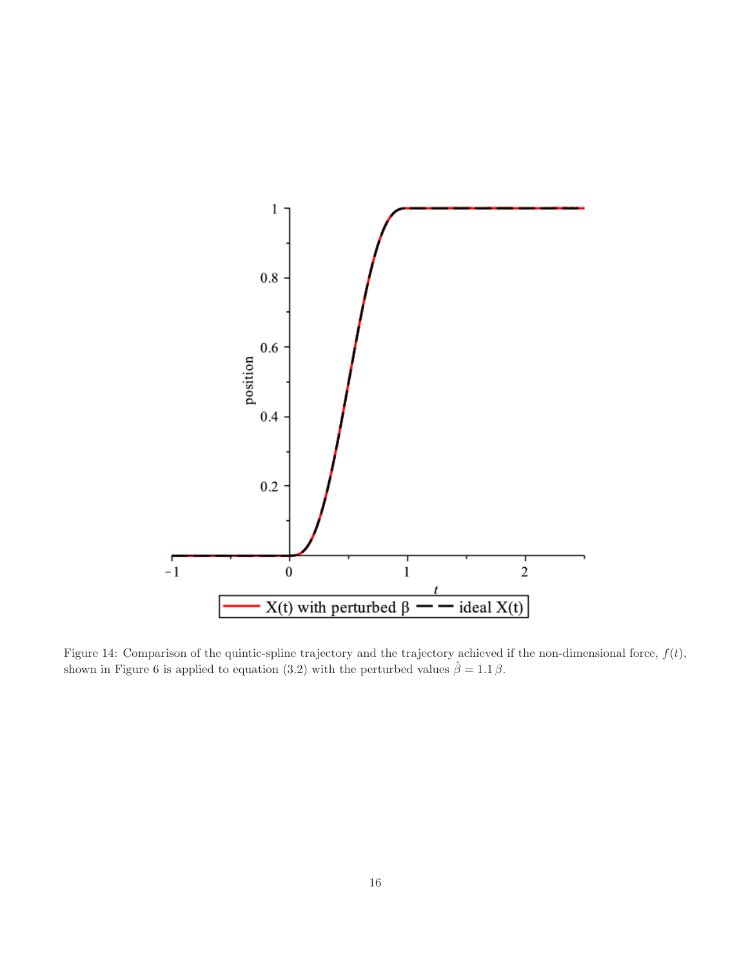

Figure 14: Comparison of the quintic-spline trajectory and the trajectory achieved if the non-dimensional force,  $f(t)$ , shown in Figure 6 is applied to equation (3.2) with the perturbed values  $\hat{\beta} = 1.1 \beta$ .